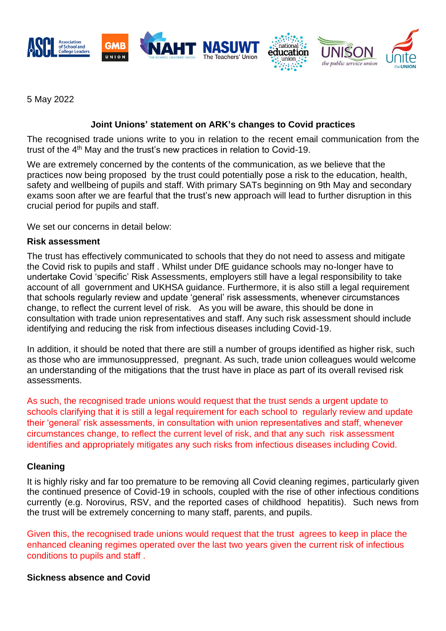

5 May 2022

# **Joint Unions' statement on ARK's changes to Covid practices**

The recognised trade unions write to you in relation to the recent email communication from the trust of the 4<sup>th</sup> May and the trust's new practices in relation to Covid-19.

We are extremely concerned by the contents of the communication, as we believe that the practices now being proposed by the trust could potentially pose a risk to the education, health, safety and wellbeing of pupils and staff. With primary SATs beginning on 9th May and secondary exams soon after we are fearful that the trust's new approach will lead to further disruption in this crucial period for pupils and staff.

We set our concerns in detail below:

#### **Risk assessment**

The trust has effectively communicated to schools that they do not need to assess and mitigate the Covid risk to pupils and staff . Whilst under DfE guidance schools may no-longer have to undertake Covid 'specific' Risk Assessments, employers still have a legal responsibility to take account of all government and UKHSA guidance. Furthermore, it is also still a legal requirement that schools regularly review and update 'general' risk assessments, whenever circumstances change, to reflect the current level of risk. As you will be aware, this should be done in consultation with trade union representatives and staff. Any such risk assessment should include identifying and reducing the risk from infectious diseases including Covid-19.

In addition, it should be noted that there are still a number of groups identified as higher risk, such as those who are immunosuppressed, pregnant. As such, trade union colleagues would welcome an understanding of the mitigations that the trust have in place as part of its overall revised risk assessments.

As such, the recognised trade unions would request that the trust sends a urgent update to schools clarifying that it is still a legal requirement for each school to regularly review and update their 'general' risk assessments, in consultation with union representatives and staff, whenever circumstances change, to reflect the current level of risk, and that any such risk assessment identifies and appropriately mitigates any such risks from infectious diseases including Covid.

## **Cleaning**

It is highly risky and far too premature to be removing all Covid cleaning regimes, particularly given the continued presence of Covid-19 in schools, coupled with the rise of other infectious conditions currently (e.g. Norovirus, RSV, and the reported cases of childhood hepatitis). Such news from the trust will be extremely concerning to many staff, parents, and pupils.

Given this, the recognised trade unions would request that the trust agrees to keep in place the enhanced cleaning regimes operated over the last two years given the current risk of infectious conditions to pupils and staff .

## **Sickness absence and Covid**